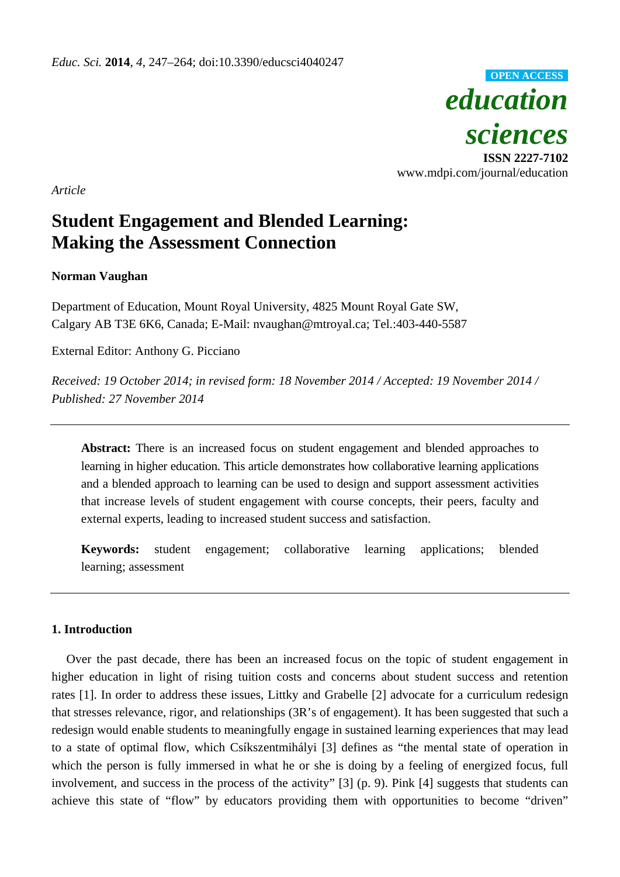

*Article*

# **Student Engagement and Blended Learning: Making the Assessment Connection**

# **Norman Vaughan**

Department of Education, Mount Royal University, 4825 Mount Royal Gate SW, Calgary AB T3E 6K6, Canada; E-Mail: nvaughan@mtroyal.ca; Tel.:403-440-5587

External Editor: Anthony G. Picciano

*Received: 19 October 2014; in revised form: 18 November 2014 / Accepted: 19 November 2014 / Published: 27 November 2014* 

**Abstract:** There is an increased focus on student engagement and blended approaches to learning in higher education. This article demonstrates how collaborative learning applications and a blended approach to learning can be used to design and support assessment activities that increase levels of student engagement with course concepts, their peers, faculty and external experts, leading to increased student success and satisfaction.

**Keywords:** student engagement; collaborative learning applications; blended learning; assessment

## **1. Introduction**

Over the past decade, there has been an increased focus on the topic of student engagement in higher education in light of rising tuition costs and concerns about student success and retention rates [1]. In order to address these issues, Littky and Grabelle [2] advocate for a curriculum redesign that stresses relevance, rigor, and relationships (3R's of engagement). It has been suggested that such a redesign would enable students to meaningfully engage in sustained learning experiences that may lead to a state of optimal flow, which Csíkszentmihályi [3] defines as "the mental state of operation in which the person is fully immersed in what he or she is doing by a feeling of energized focus, full involvement, and success in the process of the activity" [3] (p. 9). Pink [4] suggests that students can achieve this state of "flow" by educators providing them with opportunities to become "driven"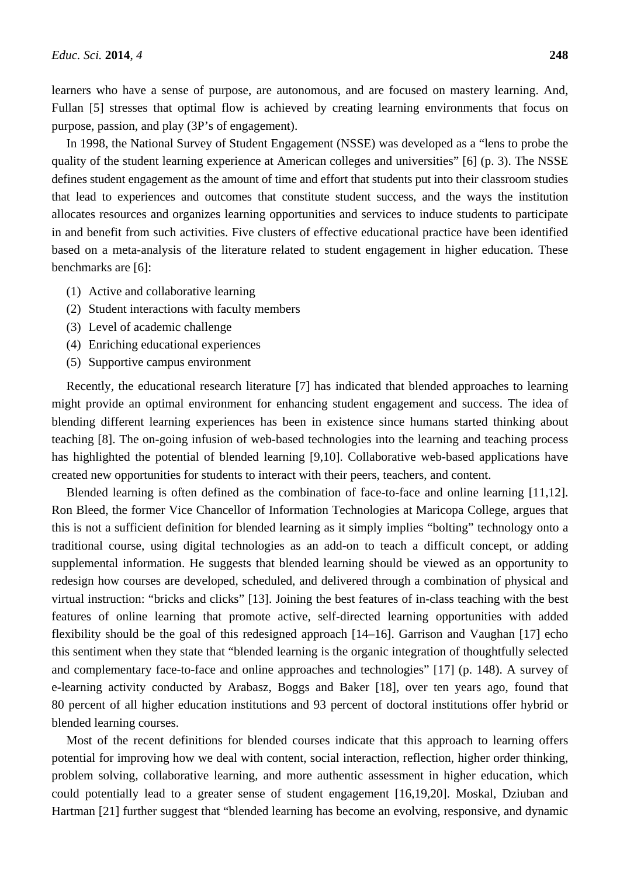learners who have a sense of purpose, are autonomous, and are focused on mastery learning. And, Fullan [5] stresses that optimal flow is achieved by creating learning environments that focus on purpose, passion, and play (3P's of engagement).

In 1998, the National Survey of Student Engagement (NSSE) was developed as a "lens to probe the quality of the student learning experience at American colleges and universities" [6] (p. 3). The NSSE defines student engagement as the amount of time and effort that students put into their classroom studies that lead to experiences and outcomes that constitute student success, and the ways the institution allocates resources and organizes learning opportunities and services to induce students to participate in and benefit from such activities. Five clusters of effective educational practice have been identified based on a meta-analysis of the literature related to student engagement in higher education. These benchmarks are [6]:

- (1) Active and collaborative learning
- (2) Student interactions with faculty members
- (3) Level of academic challenge
- (4) Enriching educational experiences
- (5) Supportive campus environment

Recently, the educational research literature [7] has indicated that blended approaches to learning might provide an optimal environment for enhancing student engagement and success. The idea of blending different learning experiences has been in existence since humans started thinking about teaching [8]. The on-going infusion of web-based technologies into the learning and teaching process has highlighted the potential of blended learning [9,10]. Collaborative web-based applications have created new opportunities for students to interact with their peers, teachers, and content.

Blended learning is often defined as the combination of face-to-face and online learning [11,12]. Ron Bleed, the former Vice Chancellor of Information Technologies at Maricopa College, argues that this is not a sufficient definition for blended learning as it simply implies "bolting" technology onto a traditional course, using digital technologies as an add-on to teach a difficult concept, or adding supplemental information. He suggests that blended learning should be viewed as an opportunity to redesign how courses are developed, scheduled, and delivered through a combination of physical and virtual instruction: "bricks and clicks" [13]. Joining the best features of in-class teaching with the best features of online learning that promote active, self-directed learning opportunities with added flexibility should be the goal of this redesigned approach [14–16]. Garrison and Vaughan [17] echo this sentiment when they state that "blended learning is the organic integration of thoughtfully selected and complementary face-to-face and online approaches and technologies" [17] (p. 148). A survey of e-learning activity conducted by Arabasz, Boggs and Baker [18], over ten years ago, found that 80 percent of all higher education institutions and 93 percent of doctoral institutions offer hybrid or blended learning courses.

Most of the recent definitions for blended courses indicate that this approach to learning offers potential for improving how we deal with content, social interaction, reflection, higher order thinking, problem solving, collaborative learning, and more authentic assessment in higher education, which could potentially lead to a greater sense of student engagement [16,19,20]. Moskal, Dziuban and Hartman [21] further suggest that "blended learning has become an evolving, responsive, and dynamic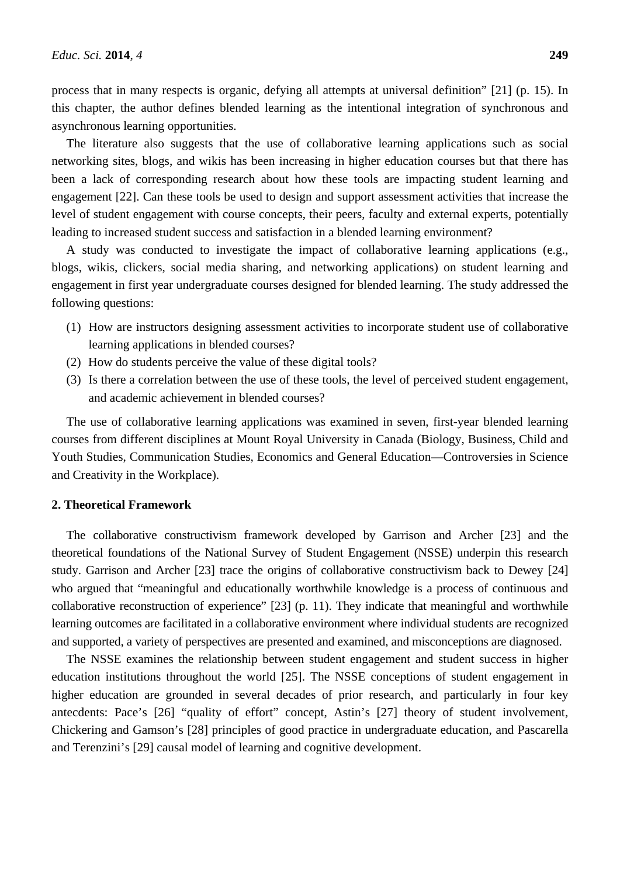process that in many respects is organic, defying all attempts at universal definition" [21] (p. 15). In this chapter, the author defines blended learning as the intentional integration of synchronous and asynchronous learning opportunities.

The literature also suggests that the use of collaborative learning applications such as social networking sites, blogs, and wikis has been increasing in higher education courses but that there has been a lack of corresponding research about how these tools are impacting student learning and engagement [22]. Can these tools be used to design and support assessment activities that increase the level of student engagement with course concepts, their peers, faculty and external experts, potentially leading to increased student success and satisfaction in a blended learning environment?

A study was conducted to investigate the impact of collaborative learning applications (e.g., blogs, wikis, clickers, social media sharing, and networking applications) on student learning and engagement in first year undergraduate courses designed for blended learning. The study addressed the following questions:

- (1) How are instructors designing assessment activities to incorporate student use of collaborative learning applications in blended courses?
- (2) How do students perceive the value of these digital tools?
- (3) Is there a correlation between the use of these tools, the level of perceived student engagement, and academic achievement in blended courses?

The use of collaborative learning applications was examined in seven, first-year blended learning courses from different disciplines at Mount Royal University in Canada (Biology, Business, Child and Youth Studies, Communication Studies, Economics and General Education—Controversies in Science and Creativity in the Workplace).

#### **2. Theoretical Framework**

The collaborative constructivism framework developed by Garrison and Archer [23] and the theoretical foundations of the National Survey of Student Engagement (NSSE) underpin this research study. Garrison and Archer [23] trace the origins of collaborative constructivism back to Dewey [24] who argued that "meaningful and educationally worthwhile knowledge is a process of continuous and collaborative reconstruction of experience" [23] (p. 11). They indicate that meaningful and worthwhile learning outcomes are facilitated in a collaborative environment where individual students are recognized and supported, a variety of perspectives are presented and examined, and misconceptions are diagnosed.

The NSSE examines the relationship between student engagement and student success in higher education institutions throughout the world [25]. The NSSE conceptions of student engagement in higher education are grounded in several decades of prior research, and particularly in four key antecdents: Pace's [26] "quality of effort" concept, Astin's [27] theory of student involvement, Chickering and Gamson's [28] principles of good practice in undergraduate education, and Pascarella and Terenzini's [29] causal model of learning and cognitive development.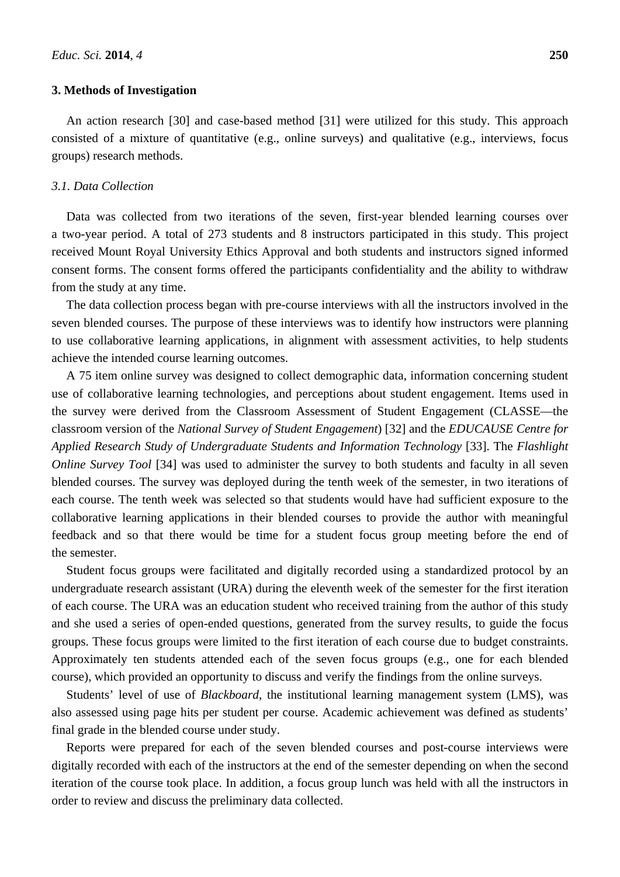#### **3. Methods of Investigation**

An action research [30] and case-based method [31] were utilized for this study. This approach consisted of a mixture of quantitative (e.g., online surveys) and qualitative (e.g., interviews, focus groups) research methods.

#### *3.1. Data Collection*

Data was collected from two iterations of the seven, first-year blended learning courses over a two-year period. A total of 273 students and 8 instructors participated in this study. This project received Mount Royal University Ethics Approval and both students and instructors signed informed consent forms. The consent forms offered the participants confidentiality and the ability to withdraw from the study at any time.

The data collection process began with pre-course interviews with all the instructors involved in the seven blended courses. The purpose of these interviews was to identify how instructors were planning to use collaborative learning applications, in alignment with assessment activities, to help students achieve the intended course learning outcomes.

A 75 item online survey was designed to collect demographic data, information concerning student use of collaborative learning technologies, and perceptions about student engagement. Items used in the survey were derived from the Classroom Assessment of Student Engagement (CLASSE—the classroom version of the *National Survey of Student Engagement*) [32] and the *EDUCAUSE Centre for Applied Research Study of Undergraduate Students and Information Technology* [33]. The *Flashlight Online Survey Tool* [34] was used to administer the survey to both students and faculty in all seven blended courses. The survey was deployed during the tenth week of the semester, in two iterations of each course. The tenth week was selected so that students would have had sufficient exposure to the collaborative learning applications in their blended courses to provide the author with meaningful feedback and so that there would be time for a student focus group meeting before the end of the semester.

Student focus groups were facilitated and digitally recorded using a standardized protocol by an undergraduate research assistant (URA) during the eleventh week of the semester for the first iteration of each course. The URA was an education student who received training from the author of this study and she used a series of open-ended questions, generated from the survey results, to guide the focus groups. These focus groups were limited to the first iteration of each course due to budget constraints. Approximately ten students attended each of the seven focus groups (e.g., one for each blended course), which provided an opportunity to discuss and verify the findings from the online surveys.

Students' level of use of *Blackboard*, the institutional learning management system (LMS), was also assessed using page hits per student per course. Academic achievement was defined as students' final grade in the blended course under study.

Reports were prepared for each of the seven blended courses and post-course interviews were digitally recorded with each of the instructors at the end of the semester depending on when the second iteration of the course took place. In addition, a focus group lunch was held with all the instructors in order to review and discuss the preliminary data collected.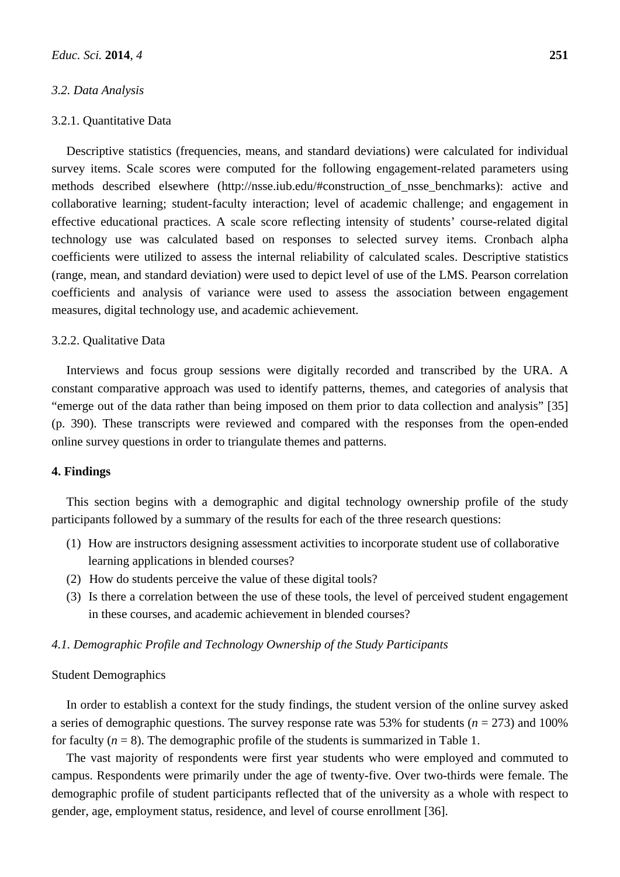#### *3.2. Data Analysis*

#### 3.2.1. Quantitative Data

Descriptive statistics (frequencies, means, and standard deviations) were calculated for individual survey items. Scale scores were computed for the following engagement-related parameters using methods described elsewhere (http://nsse.iub.edu/#construction\_of\_nsse\_benchmarks): active and collaborative learning; student-faculty interaction; level of academic challenge; and engagement in effective educational practices. A scale score reflecting intensity of students' course-related digital technology use was calculated based on responses to selected survey items. Cronbach alpha coefficients were utilized to assess the internal reliability of calculated scales. Descriptive statistics (range, mean, and standard deviation) were used to depict level of use of the LMS. Pearson correlation coefficients and analysis of variance were used to assess the association between engagement measures, digital technology use, and academic achievement.

#### 3.2.2. Qualitative Data

Interviews and focus group sessions were digitally recorded and transcribed by the URA. A constant comparative approach was used to identify patterns, themes, and categories of analysis that "emerge out of the data rather than being imposed on them prior to data collection and analysis" [35] (p. 390). These transcripts were reviewed and compared with the responses from the open-ended online survey questions in order to triangulate themes and patterns.

### **4. Findings**

This section begins with a demographic and digital technology ownership profile of the study participants followed by a summary of the results for each of the three research questions:

- (1) How are instructors designing assessment activities to incorporate student use of collaborative learning applications in blended courses?
- (2) How do students perceive the value of these digital tools?
- (3) Is there a correlation between the use of these tools, the level of perceived student engagement in these courses, and academic achievement in blended courses?

#### *4.1. Demographic Profile and Technology Ownership of the Study Participants*

#### Student Demographics

In order to establish a context for the study findings, the student version of the online survey asked a series of demographic questions. The survey response rate was 53% for students ( $n = 273$ ) and 100% for faculty  $(n = 8)$ . The demographic profile of the students is summarized in Table 1.

The vast majority of respondents were first year students who were employed and commuted to campus. Respondents were primarily under the age of twenty-five. Over two-thirds were female. The demographic profile of student participants reflected that of the university as a whole with respect to gender, age, employment status, residence, and level of course enrollment [36].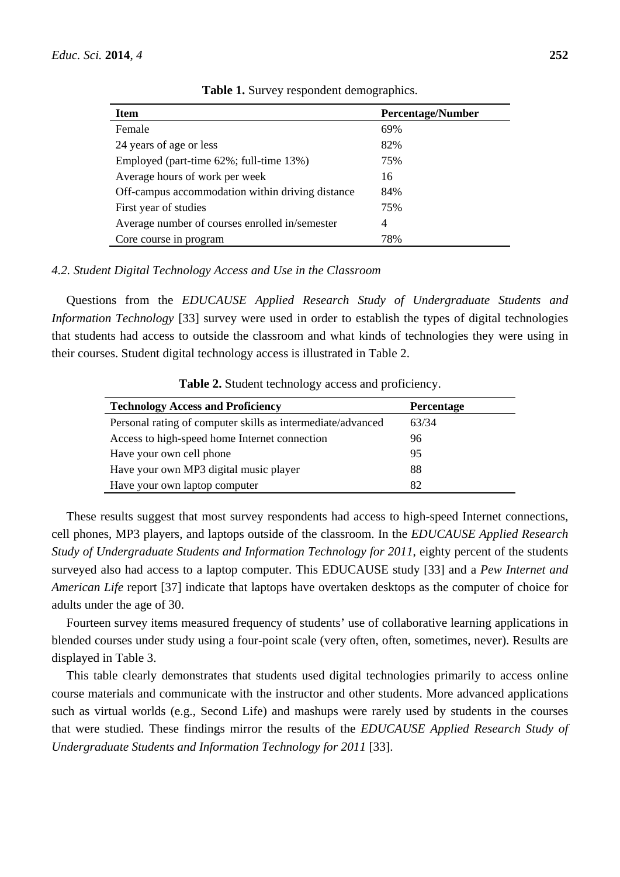| <b>Item</b>                                      | <b>Percentage/Number</b> |
|--------------------------------------------------|--------------------------|
| Female                                           | 69%                      |
| 24 years of age or less                          | 82%                      |
| Employed (part-time 62%; full-time 13%)          | 75%                      |
| Average hours of work per week                   | 16                       |
| Off-campus accommodation within driving distance | 84%                      |
| First year of studies                            | 75%                      |
| Average number of courses enrolled in/semester   | 4                        |
| Core course in program                           | 78%                      |

**Table 1.** Survey respondent demographics.

#### *4.2. Student Digital Technology Access and Use in the Classroom*

Questions from the *EDUCAUSE Applied Research Study of Undergraduate Students and Information Technology* [33] survey were used in order to establish the types of digital technologies that students had access to outside the classroom and what kinds of technologies they were using in their courses. Student digital technology access is illustrated in Table 2.

| <b>Technology Access and Proficiency</b>                    | <b>Percentage</b> |
|-------------------------------------------------------------|-------------------|
| Personal rating of computer skills as intermediate/advanced | 63/34             |
| Access to high-speed home Internet connection               | 96                |
| Have your own cell phone                                    | 95                |
| Have your own MP3 digital music player                      | 88                |
| Have your own laptop computer                               | 82                |

**Table 2.** Student technology access and proficiency.

These results suggest that most survey respondents had access to high-speed Internet connections, cell phones, MP3 players, and laptops outside of the classroom. In the *EDUCAUSE Applied Research Study of Undergraduate Students and Information Technology for 2011*, eighty percent of the students surveyed also had access to a laptop computer. This EDUCAUSE study [33] and a *Pew Internet and American Life* report [37] indicate that laptops have overtaken desktops as the computer of choice for adults under the age of 30.

Fourteen survey items measured frequency of students' use of collaborative learning applications in blended courses under study using a four-point scale (very often, often, sometimes, never). Results are displayed in Table 3.

This table clearly demonstrates that students used digital technologies primarily to access online course materials and communicate with the instructor and other students. More advanced applications such as virtual worlds (e.g., Second Life) and mashups were rarely used by students in the courses that were studied. These findings mirror the results of the *EDUCAUSE Applied Research Study of Undergraduate Students and Information Technology for 2011* [33].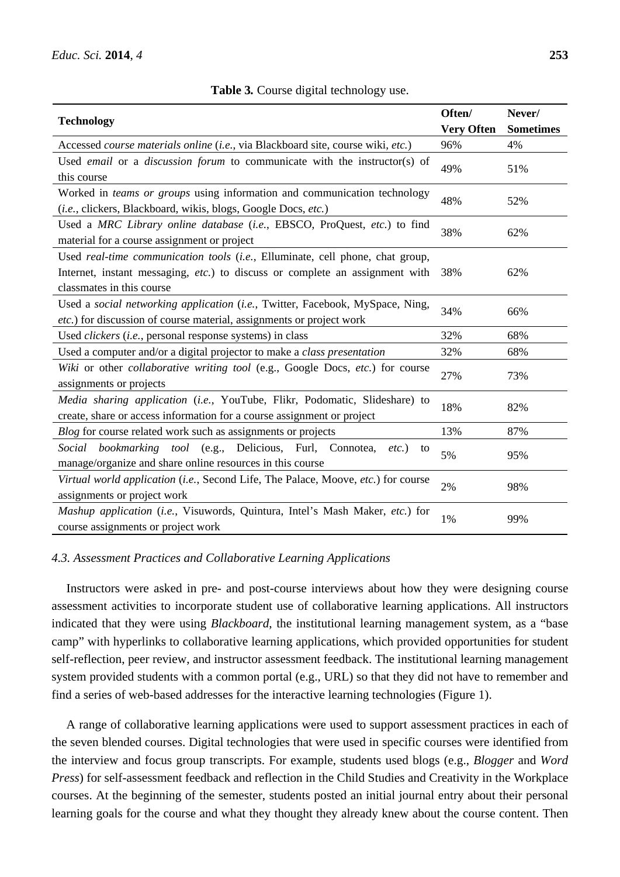| <b>Technology</b>                                                                 |                   | Never/           |  |
|-----------------------------------------------------------------------------------|-------------------|------------------|--|
|                                                                                   | <b>Very Often</b> | <b>Sometimes</b> |  |
| Accessed course materials online (i.e., via Blackboard site, course wiki, etc.)   | 96%               | 4%               |  |
| Used email or a discussion forum to communicate with the instructor(s) of         | 49%               | 51%              |  |
| this course                                                                       |                   |                  |  |
| Worked in teams or groups using information and communication technology          | 48%               | 52%              |  |
| (i.e., clickers, Blackboard, wikis, blogs, Google Docs, etc.)                     |                   |                  |  |
| Used a MRC Library online database (i.e., EBSCO, ProQuest, etc.) to find          |                   | 62%              |  |
| material for a course assignment or project                                       | 38%               |                  |  |
| Used real-time communication tools (i.e., Elluminate, cell phone, chat group,     |                   |                  |  |
| Internet, instant messaging, etc.) to discuss or complete an assignment with      | 38%               | 62%              |  |
| classmates in this course                                                         |                   |                  |  |
| Used a social networking application (i.e., Twitter, Facebook, MySpace, Ning,     |                   | 66%              |  |
| etc.) for discussion of course material, assignments or project work              | 34%               |                  |  |
| Used <i>clickers</i> ( <i>i.e.</i> , personal response systems) in class          | 32%               | 68%              |  |
| Used a computer and/or a digital projector to make a <i>class presentation</i>    | 32%               | 68%              |  |
| Wiki or other collaborative writing tool (e.g., Google Docs, etc.) for course     | 27%               | 73%              |  |
| assignments or projects                                                           |                   |                  |  |
| Media sharing application (i.e., YouTube, Flikr, Podomatic, Slideshare) to        | 18%               | 82%              |  |
| create, share or access information for a course assignment or project            |                   |                  |  |
| Blog for course related work such as assignments or projects                      | 13%               | 87%              |  |
| bookmarking tool (e.g., Delicious, Furl, Connotea,<br>Social<br>$etc.$ )<br>to    | 5%                | 95%              |  |
| manage/organize and share online resources in this course                         |                   |                  |  |
| Virtual world application (i.e., Second Life, The Palace, Moove, etc.) for course | 2%                | 98%              |  |
| assignments or project work                                                       |                   |                  |  |
| Mashup application (i.e., Visuwords, Quintura, Intel's Mash Maker, etc.) for      | 1%                | 99%              |  |
| course assignments or project work                                                |                   |                  |  |

**Table 3***.* Course digital technology use.

## *4.3. Assessment Practices and Collaborative Learning Applications*

Instructors were asked in pre- and post-course interviews about how they were designing course assessment activities to incorporate student use of collaborative learning applications. All instructors indicated that they were using *Blackboard*, the institutional learning management system, as a "base camp" with hyperlinks to collaborative learning applications, which provided opportunities for student self-reflection, peer review, and instructor assessment feedback. The institutional learning management system provided students with a common portal (e.g., URL) so that they did not have to remember and find a series of web-based addresses for the interactive learning technologies (Figure 1).

A range of collaborative learning applications were used to support assessment practices in each of the seven blended courses. Digital technologies that were used in specific courses were identified from the interview and focus group transcripts. For example, students used blogs (e.g., *Blogger* and *Word Press*) for self-assessment feedback and reflection in the Child Studies and Creativity in the Workplace courses. At the beginning of the semester, students posted an initial journal entry about their personal learning goals for the course and what they thought they already knew about the course content. Then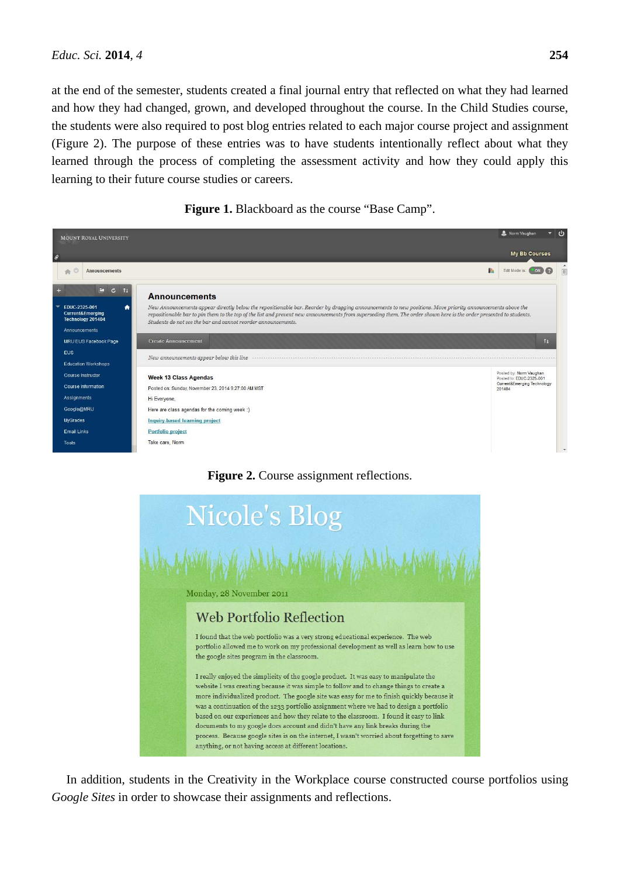at the end of the semester, students created a final journal entry that reflected on what they had learned and how they had changed, grown, and developed throughout the course. In the Child Studies course, the students were also required to post blog entries related to each major course project and assignment (Figure 2). The purpose of these entries was to have students intentionally reflect about what they learned through the process of completing the assessment activity and how they could apply this learning to their future course studies or careers.





# **Figure 2.** Course assignment reflections.



In addition, students in the Creativity in the Workplace course constructed course portfolios using *Google Sites* in order to showcase their assignments and reflections.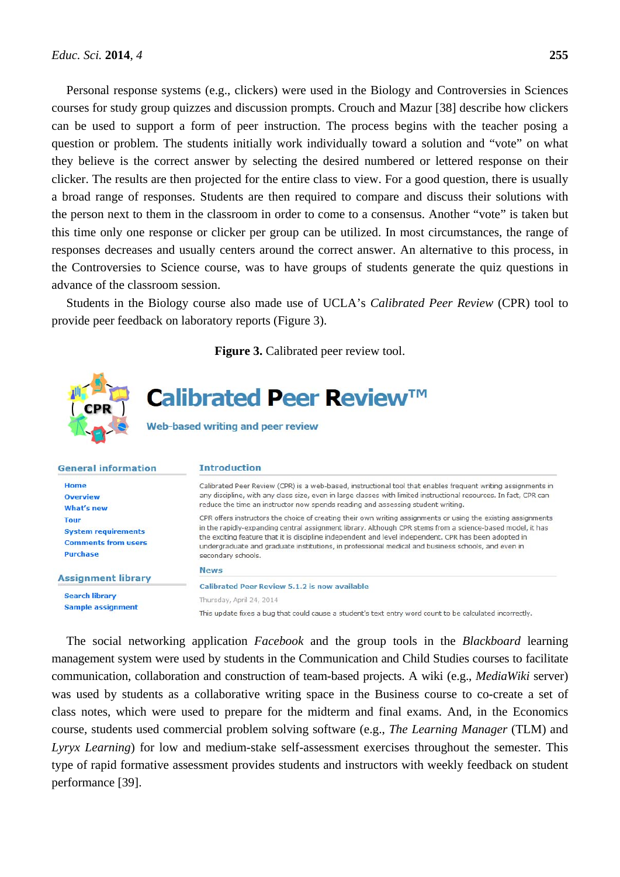Personal response systems (e.g., clickers) were used in the Biology and Controversies in Sciences courses for study group quizzes and discussion prompts. Crouch and Mazur [38] describe how clickers can be used to support a form of peer instruction. The process begins with the teacher posing a question or problem. The students initially work individually toward a solution and "vote" on what they believe is the correct answer by selecting the desired numbered or lettered response on their clicker. The results are then projected for the entire class to view. For a good question, there is usually a broad range of responses. Students are then required to compare and discuss their solutions with the person next to them in the classroom in order to come to a consensus. Another "vote" is taken but this time only one response or clicker per group can be utilized. In most circumstances, the range of responses decreases and usually centers around the correct answer. An alternative to this process, in the Controversies to Science course, was to have groups of students generate the quiz questions in advance of the classroom session.

Students in the Biology course also made use of UCLA's *Calibrated Peer Review* (CPR) tool to provide peer feedback on laboratory reports (Figure 3).



**Search library Sample assignment** 

This update fixes a bug that could cause a student's text entry word count to be calculated incorrectly.

The social networking application *Facebook* and the group tools in the *Blackboard* learning management system were used by students in the Communication and Child Studies courses to facilitate communication, collaboration and construction of team-based projects. A wiki (e.g., *MediaWiki* server) was used by students as a collaborative writing space in the Business course to co-create a set of class notes, which were used to prepare for the midterm and final exams. And, in the Economics course, students used commercial problem solving software (e.g., *The Learning Manager* (TLM) and *Lyryx Learning*) for low and medium-stake self-assessment exercises throughout the semester. This type of rapid formative assessment provides students and instructors with weekly feedback on student performance [39].

Thursday, April 24, 2014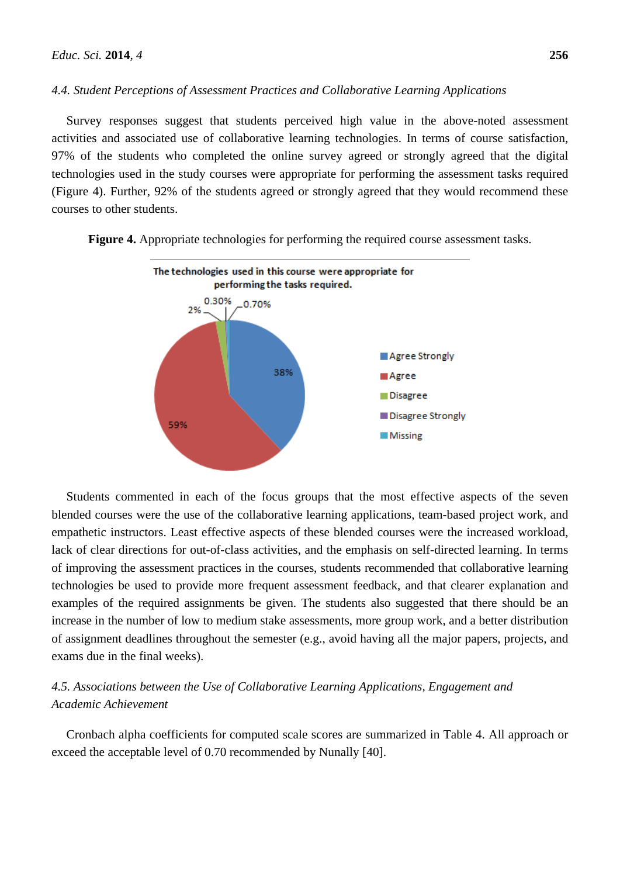#### *4.4. Student Perceptions of Assessment Practices and Collaborative Learning Applications*

Survey responses suggest that students perceived high value in the above-noted assessment activities and associated use of collaborative learning technologies. In terms of course satisfaction, 97% of the students who completed the online survey agreed or strongly agreed that the digital technologies used in the study courses were appropriate for performing the assessment tasks required (Figure 4). Further, 92% of the students agreed or strongly agreed that they would recommend these courses to other students.



**Figure 4.** Appropriate technologies for performing the required course assessment tasks.

Students commented in each of the focus groups that the most effective aspects of the seven blended courses were the use of the collaborative learning applications, team-based project work, and empathetic instructors. Least effective aspects of these blended courses were the increased workload, lack of clear directions for out-of-class activities, and the emphasis on self-directed learning. In terms of improving the assessment practices in the courses, students recommended that collaborative learning technologies be used to provide more frequent assessment feedback, and that clearer explanation and examples of the required assignments be given. The students also suggested that there should be an increase in the number of low to medium stake assessments, more group work, and a better distribution of assignment deadlines throughout the semester (e.g., avoid having all the major papers, projects, and exams due in the final weeks).

# *4.5. Associations between the Use of Collaborative Learning Applications, Engagement and Academic Achievement*

Cronbach alpha coefficients for computed scale scores are summarized in Table 4. All approach or exceed the acceptable level of 0.70 recommended by Nunally [40].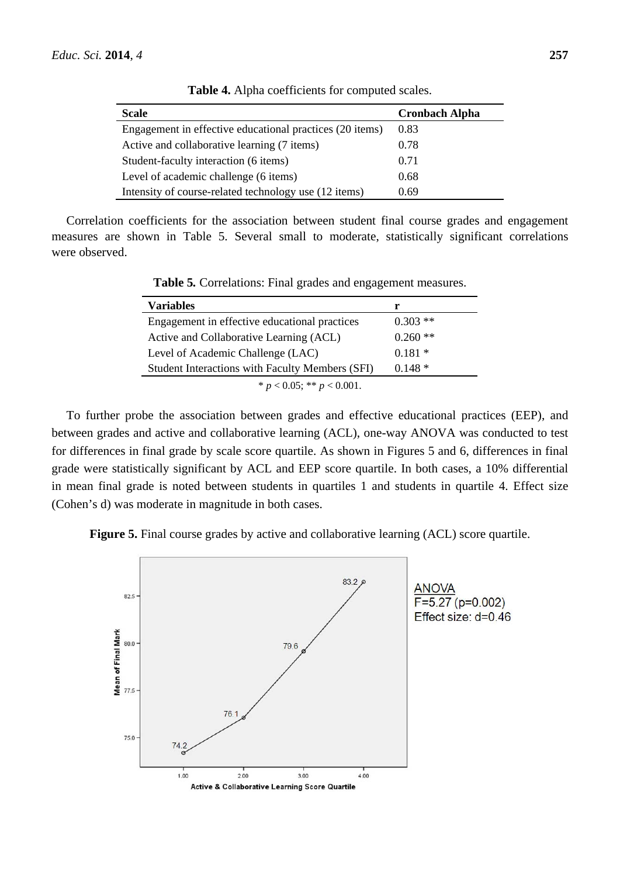| <b>Scale</b>                                             | <b>Cronbach Alpha</b> |
|----------------------------------------------------------|-----------------------|
| Engagement in effective educational practices (20 items) | 0.83                  |
| Active and collaborative learning (7 items)              | 0.78                  |
| Student-faculty interaction (6 items)                    | 0.71                  |
| Level of academic challenge (6 items)                    | 0.68                  |
| Intensity of course-related technology use (12 items)    | 0.69                  |

**Table 4.** Alpha coefficients for computed scales.

Correlation coefficients for the association between student final course grades and engagement measures are shown in Table 5. Several small to moderate, statistically significant correlations were observed.

| <b>Variables</b>                                | r         |
|-------------------------------------------------|-----------|
| Engagement in effective educational practices   | $0.303**$ |
| Active and Collaborative Learning (ACL)         | $0.260**$ |
| Level of Academic Challenge (LAC)               | $0.181*$  |
| Student Interactions with Faculty Members (SFI) | $0.148*$  |
| * $p < 0.05$ ; ** $p < 0.001$ .                 |           |

**Table 5***.* Correlations: Final grades and engagement measures.

To further probe the association between grades and effective educational practices (EEP), and between grades and active and collaborative learning (ACL), one-way ANOVA was conducted to test for differences in final grade by scale score quartile. As shown in Figures 5 and 6, differences in final grade were statistically significant by ACL and EEP score quartile. In both cases, a 10% differential in mean final grade is noted between students in quartiles 1 and students in quartile 4. Effect size (Cohen's d) was moderate in magnitude in both cases.

**Figure 5.** Final course grades by active and collaborative learning (ACL) score quartile.

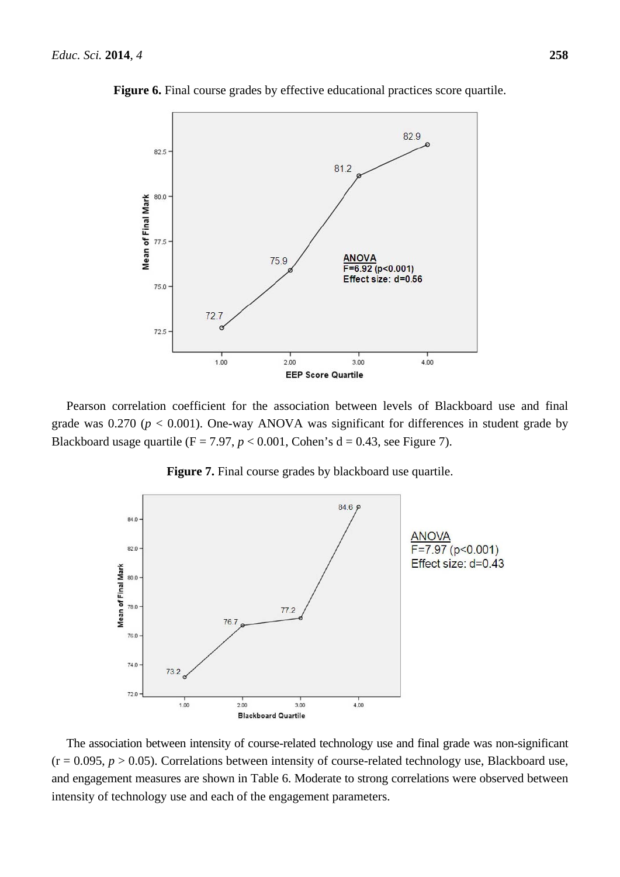

**Figure 6.** Final course grades by effective educational practices score quartile.

Pearson correlation coefficient for the association between levels of Blackboard use and final grade was  $0.270$  ( $p < 0.001$ ). One-way ANOVA was significant for differences in student grade by Blackboard usage quartile ( $F = 7.97$ ,  $p < 0.001$ , Cohen's d = 0.43, see Figure 7).



**Figure 7.** Final course grades by blackboard use quartile.

The association between intensity of course-related technology use and final grade was non-significant  $(r = 0.095, p > 0.05)$ . Correlations between intensity of course-related technology use, Blackboard use, and engagement measures are shown in Table 6. Moderate to strong correlations were observed between intensity of technology use and each of the engagement parameters.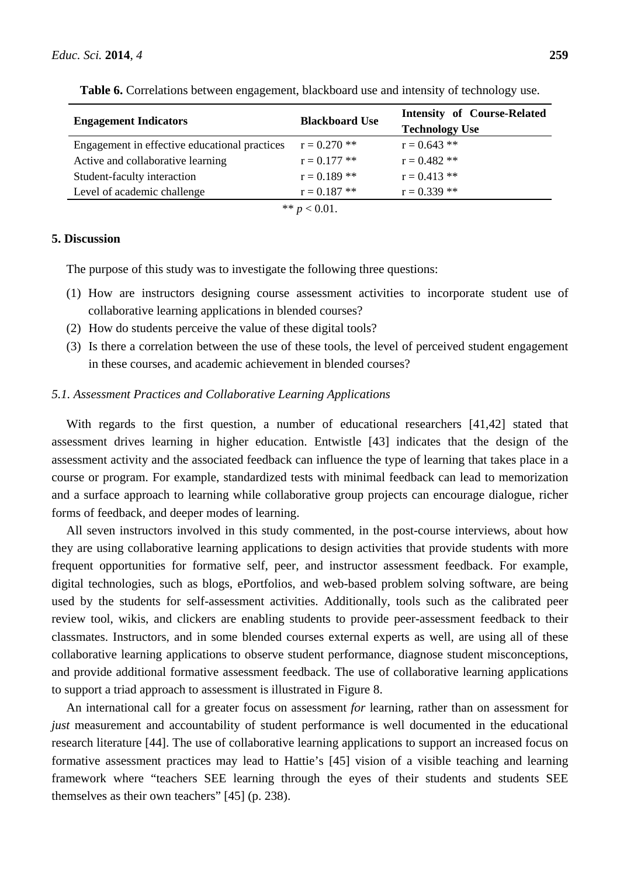| <b>Engagement Indicators</b>                  | <b>Blackboard Use</b> | <b>Intensity of Course-Related</b><br><b>Technology Use</b> |  |
|-----------------------------------------------|-----------------------|-------------------------------------------------------------|--|
| Engagement in effective educational practices | $r = 0.270$ **        | $r = 0.643$ **                                              |  |
| Active and collaborative learning             | $r = 0.177$ **        | $r = 0.482$ **                                              |  |
| Student-faculty interaction                   | $r = 0.189$ **        | $r = 0.413$ **                                              |  |
| Level of academic challenge                   | $r = 0.187$ **        | $r = 0.339$ **                                              |  |
| ** $p < 0.01$ .                               |                       |                                                             |  |

**Table 6.** Correlations between engagement, blackboard use and intensity of technology use.

# **5. Discussion**

The purpose of this study was to investigate the following three questions:

- (1) How are instructors designing course assessment activities to incorporate student use of collaborative learning applications in blended courses?
- (2) How do students perceive the value of these digital tools?
- (3) Is there a correlation between the use of these tools, the level of perceived student engagement in these courses, and academic achievement in blended courses?

#### *5.1. Assessment Practices and Collaborative Learning Applications*

With regards to the first question, a number of educational researchers [41,42] stated that assessment drives learning in higher education. Entwistle [43] indicates that the design of the assessment activity and the associated feedback can influence the type of learning that takes place in a course or program. For example, standardized tests with minimal feedback can lead to memorization and a surface approach to learning while collaborative group projects can encourage dialogue, richer forms of feedback, and deeper modes of learning.

All seven instructors involved in this study commented, in the post-course interviews, about how they are using collaborative learning applications to design activities that provide students with more frequent opportunities for formative self, peer, and instructor assessment feedback. For example, digital technologies, such as blogs, ePortfolios, and web-based problem solving software, are being used by the students for self-assessment activities. Additionally, tools such as the calibrated peer review tool, wikis, and clickers are enabling students to provide peer-assessment feedback to their classmates. Instructors, and in some blended courses external experts as well, are using all of these collaborative learning applications to observe student performance, diagnose student misconceptions, and provide additional formative assessment feedback. The use of collaborative learning applications to support a triad approach to assessment is illustrated in Figure 8.

An international call for a greater focus on assessment *for* learning, rather than on assessment for *just* measurement and accountability of student performance is well documented in the educational research literature [44]. The use of collaborative learning applications to support an increased focus on formative assessment practices may lead to Hattie's [45] vision of a visible teaching and learning framework where "teachers SEE learning through the eyes of their students and students SEE themselves as their own teachers" [45] (p. 238).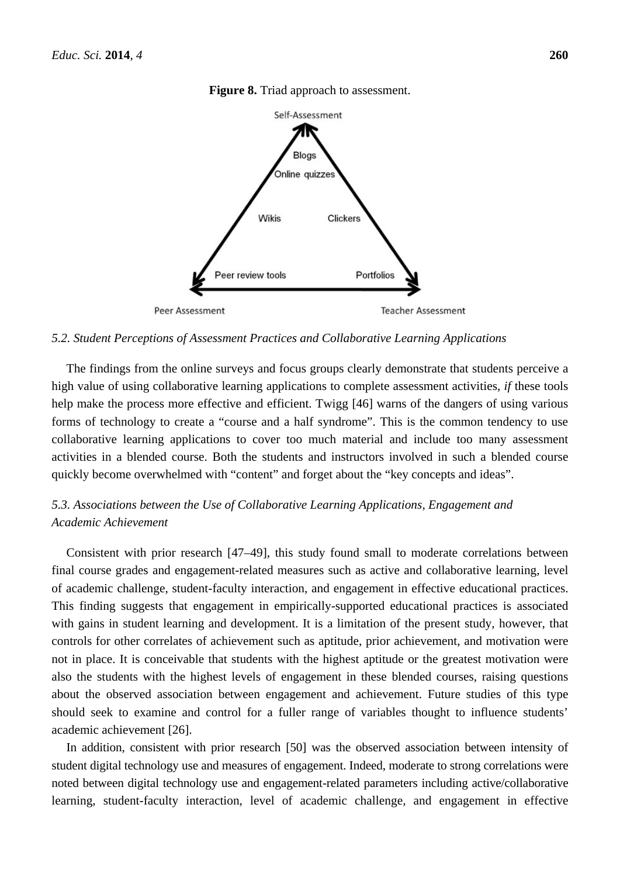

**Figure 8.** Triad approach to assessment.

*5.2. Student Perceptions of Assessment Practices and Collaborative Learning Applications* 

The findings from the online surveys and focus groups clearly demonstrate that students perceive a high value of using collaborative learning applications to complete assessment activities, *if* these tools help make the process more effective and efficient. Twigg [46] warns of the dangers of using various forms of technology to create a "course and a half syndrome". This is the common tendency to use collaborative learning applications to cover too much material and include too many assessment activities in a blended course. Both the students and instructors involved in such a blended course quickly become overwhelmed with "content" and forget about the "key concepts and ideas".

# *5.3. Associations between the Use of Collaborative Learning Applications, Engagement and Academic Achievement*

Consistent with prior research [47–49], this study found small to moderate correlations between final course grades and engagement-related measures such as active and collaborative learning, level of academic challenge, student-faculty interaction, and engagement in effective educational practices. This finding suggests that engagement in empirically-supported educational practices is associated with gains in student learning and development. It is a limitation of the present study, however, that controls for other correlates of achievement such as aptitude, prior achievement, and motivation were not in place. It is conceivable that students with the highest aptitude or the greatest motivation were also the students with the highest levels of engagement in these blended courses, raising questions about the observed association between engagement and achievement. Future studies of this type should seek to examine and control for a fuller range of variables thought to influence students' academic achievement [26].

In addition, consistent with prior research [50] was the observed association between intensity of student digital technology use and measures of engagement. Indeed, moderate to strong correlations were noted between digital technology use and engagement-related parameters including active/collaborative learning, student-faculty interaction, level of academic challenge, and engagement in effective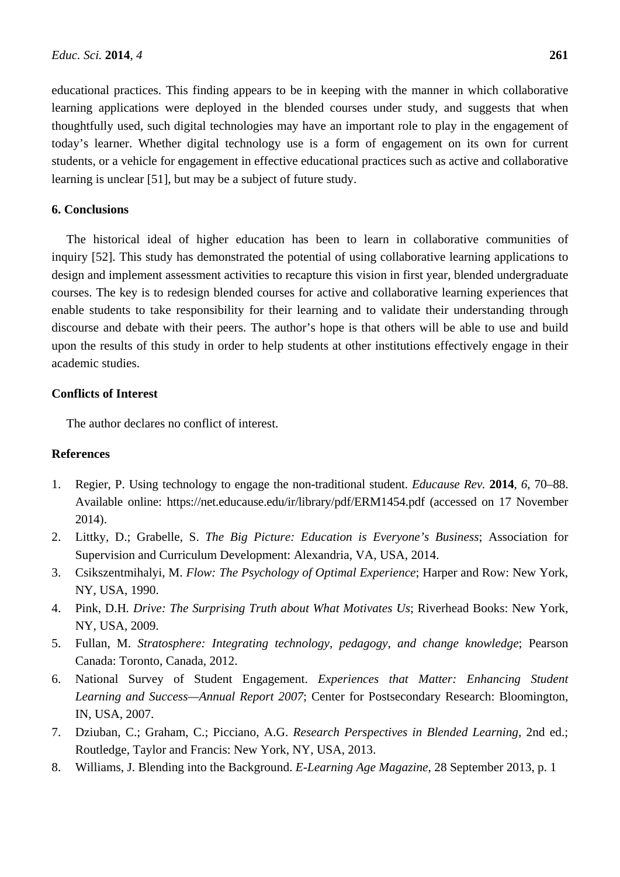educational practices. This finding appears to be in keeping with the manner in which collaborative learning applications were deployed in the blended courses under study, and suggests that when thoughtfully used, such digital technologies may have an important role to play in the engagement of today's learner. Whether digital technology use is a form of engagement on its own for current students, or a vehicle for engagement in effective educational practices such as active and collaborative learning is unclear [51], but may be a subject of future study.

#### **6. Conclusions**

The historical ideal of higher education has been to learn in collaborative communities of inquiry [52]. This study has demonstrated the potential of using collaborative learning applications to design and implement assessment activities to recapture this vision in first year, blended undergraduate courses. The key is to redesign blended courses for active and collaborative learning experiences that enable students to take responsibility for their learning and to validate their understanding through discourse and debate with their peers. The author's hope is that others will be able to use and build upon the results of this study in order to help students at other institutions effectively engage in their academic studies.

## **Conflicts of Interest**

The author declares no conflict of interest.

# **References**

- 1. Regier, P. Using technology to engage the non-traditional student. *Educause Rev.* **2014**, *6*, 70–88. Available online: https://net.educause.edu/ir/library/pdf/ERM1454.pdf (accessed on 17 November 2014).
- 2. Littky, D.; Grabelle, S. *The Big Picture: Education is Everyone's Business*; Association for Supervision and Curriculum Development: Alexandria, VA, USA, 2014.
- 3. Csikszentmihalyi, M. *Flow: The Psychology of Optimal Experience*; Harper and Row: New York, NY, USA, 1990.
- 4. Pink, D.H*. Drive: The Surprising Truth about What Motivates Us*; Riverhead Books: New York, NY, USA, 2009.
- 5. Fullan, M. *Stratosphere: Integrating technology, pedagogy, and change knowledge*; Pearson Canada: Toronto, Canada, 2012.
- 6. National Survey of Student Engagement. *Experiences that Matter: Enhancing Student Learning and Success—Annual Report 2007*; Center for Postsecondary Research: Bloomington, IN, USA, 2007.
- 7. Dziuban, C.; Graham, C.; Picciano, A.G. *Research Perspectives in Blended Learning*, 2nd ed.; Routledge, Taylor and Francis: New York, NY, USA, 2013.
- 8. Williams, J. Blending into the Background. *E-Learning Age Magazine*, 28 September 2013, p. 1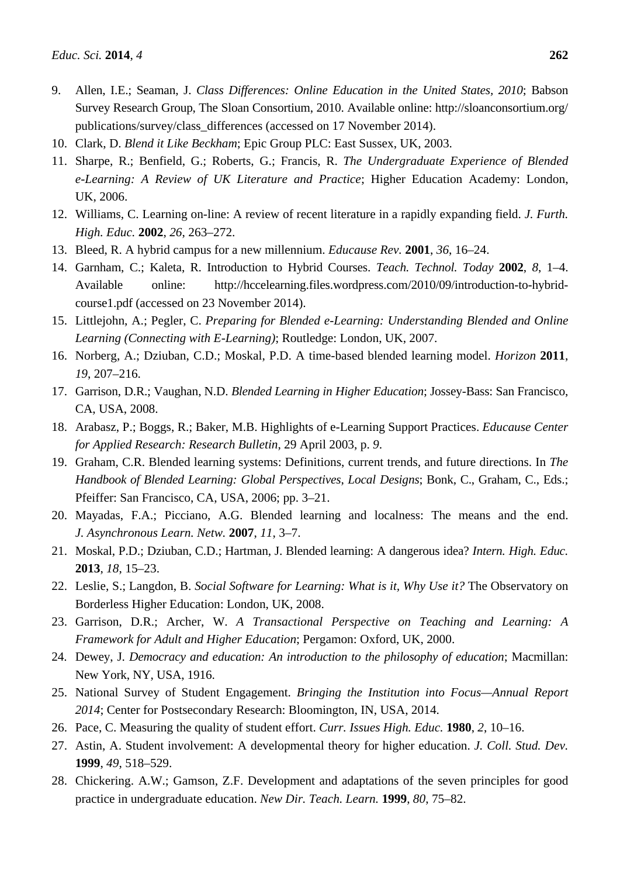- 9. Allen, I.E.; Seaman, J. *Class Differences: Online Education in the United States, 2010*; Babson Survey Research Group, The Sloan Consortium, 2010. Available online: http://sloanconsortium.org/ publications/survey/class\_differences (accessed on 17 November 2014).
- 10. Clark, D. *Blend it Like Beckham*; Epic Group PLC: East Sussex, UK, 2003.
- 11. Sharpe, R.; Benfield, G.; Roberts, G.; Francis, R. *The Undergraduate Experience of Blended e-Learning: A Review of UK Literature and Practice*; Higher Education Academy: London, UK, 2006.
- 12. Williams, C. Learning on-line: A review of recent literature in a rapidly expanding field. *J. Furth. High. Educ.* **2002**, *26*, 263–272.
- 13. Bleed, R. A hybrid campus for a new millennium. *Educause Rev.* **2001**, *36*, 16–24.
- 14. Garnham, C.; Kaleta, R. Introduction to Hybrid Courses. *Teach. Technol. Today* **2002**, *8*, 1–4. Available online: http://hccelearning.files.wordpress.com/2010/09/introduction-to-hybridcourse1.pdf (accessed on 23 November 2014).
- 15. Littlejohn, A.; Pegler, C. *Preparing for Blended e-Learning: Understanding Blended and Online Learning (Connecting with E-Learning)*; Routledge: London, UK, 2007.
- 16. Norberg, A.; Dziuban, C.D.; Moskal, P.D. A time-based blended learning model. *Horizon* **2011**, *19*, 207–216.
- 17. Garrison, D.R.; Vaughan, N.D. *Blended Learning in Higher Education*; Jossey-Bass: San Francisco, CA, USA, 2008.
- 18. Arabasz, P.; Boggs, R.; Baker, M.B. Highlights of e-Learning Support Practices. *Educause Center for Applied Research: Research Bulletin*, 29 April 2003, p. *9*.
- 19. Graham, C.R. Blended learning systems: Definitions, current trends, and future directions. In *The Handbook of Blended Learning: Global Perspectives*, *Local Designs*; Bonk, C., Graham, C., Eds.; Pfeiffer: San Francisco, CA, USA, 2006; pp. 3–21.
- 20. Mayadas, F.A.; Picciano, A.G. Blended learning and localness: The means and the end. *J. Asynchronous Learn. Netw.* **2007**, *11*, 3–7.
- 21. Moskal, P.D.; Dziuban, C.D.; Hartman, J. Blended learning: A dangerous idea? *Intern. High. Educ.* **2013**, *18*, 15–23.
- 22. Leslie, S.; Langdon, B. *Social Software for Learning: What is it, Why Use it?* The Observatory on Borderless Higher Education: London, UK, 2008.
- 23. Garrison, D.R.; Archer, W. *A Transactional Perspective on Teaching and Learning: A Framework for Adult and Higher Education*; Pergamon: Oxford, UK, 2000.
- 24. Dewey, J. *Democracy and education: An introduction to the philosophy of education*; Macmillan: New York, NY, USA, 1916.
- 25. National Survey of Student Engagement. *Bringing the Institution into Focus—Annual Report 2014*; Center for Postsecondary Research: Bloomington, IN, USA, 2014.
- 26. Pace, C. Measuring the quality of student effort. *Curr. Issues High. Educ.* **1980**, *2*, 10–16.
- 27. Astin, A. Student involvement: A developmental theory for higher education. *J. Coll. Stud. Dev.*  **1999**, *49*, 518–529.
- 28. Chickering. A.W.; Gamson, Z.F. Development and adaptations of the seven principles for good practice in undergraduate education. *New Dir. Teach. Learn.* **1999**, *80*, 75–82.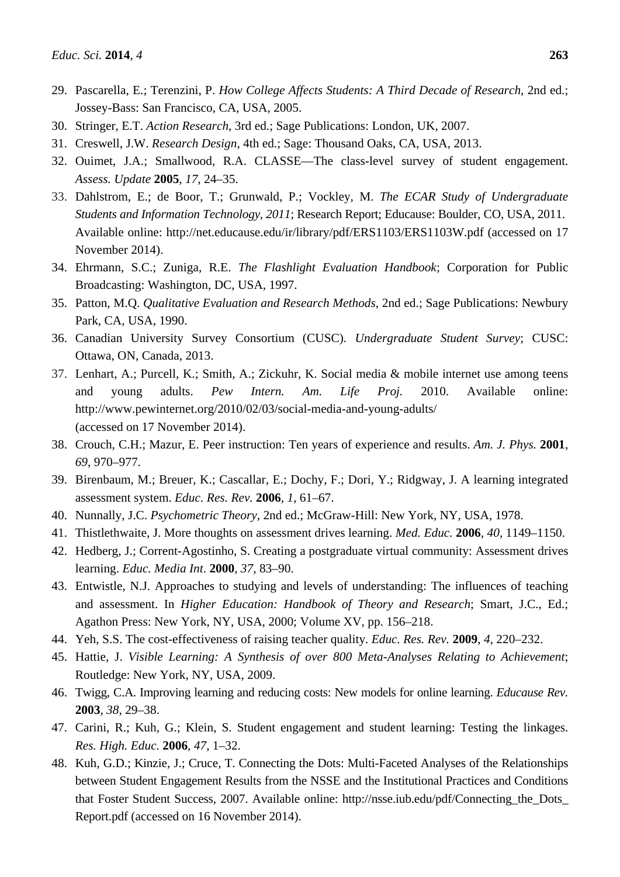- 30. Stringer, E.T. *Action Research*, 3rd ed.; Sage Publications: London, UK, 2007.
- 31. Creswell, J.W. *Research Design*, 4th ed.; Sage: Thousand Oaks, CA, USA, 2013.
- 32. Ouimet, J.A.; Smallwood, R.A. CLASSE—The class-level survey of student engagement. *Assess. Update* **2005**, *17*, 24–35.
- 33. Dahlstrom, E.; de Boor, T.; Grunwald, P.; Vockley, M. *The ECAR Study of Undergraduate Students and Information Technology*, *2011*; Research Report; Educause: Boulder, CO, USA, 2011. Available online: http://net.educause.edu/ir/library/pdf/ERS1103/ERS1103W.pdf (accessed on 17 November 2014).
- 34. Ehrmann, S.C.; Zuniga, R.E. *The Flashlight Evaluation Handbook*; Corporation for Public Broadcasting: Washington, DC, USA, 1997.
- 35. Patton, M.Q. *Qualitative Evaluation and Research Methods*, 2nd ed.; Sage Publications: Newbury Park, CA, USA, 1990.
- 36. Canadian University Survey Consortium (CUSC)*. Undergraduate Student Survey*; CUSC: Ottawa, ON, Canada, 2013.
- 37. Lenhart, A.; Purcell, K.; Smith, A.; Zickuhr, K. Social media & mobile internet use among teens and young adults. *Pew Intern. Am. Life Proj.* 2010. Available online: http://www.pewinternet.org/2010/02/03/social-media-and-young-adults/ (accessed on 17 November 2014).
- 38. Crouch, C.H.; Mazur, E. Peer instruction: Ten years of experience and results. *Am. J. Phys.* **2001**, *69*, 970–977.
- 39. Birenbaum, M.; Breuer, K.; Cascallar, E.; Dochy, F.; Dori, Y.; Ridgway, J. A learning integrated assessment system. *Educ. Res. Rev.* **2006**, *1*, 61–67.
- 40. Nunnally, J.C. *Psychometric Theory*, 2nd ed.; McGraw-Hill: New York, NY, USA, 1978.
- 41. Thistlethwaite, J. More thoughts on assessment drives learning. *Med. Educ.* **2006**, *40*, 1149–1150.
- 42. Hedberg, J.; Corrent-Agostinho, S. Creating a postgraduate virtual community: Assessment drives learning. *Educ. Media Int*. **2000**, *37*, 83–90.
- 43. Entwistle, N.J. Approaches to studying and levels of understanding: The influences of teaching and assessment. In *Higher Education: Handbook of Theory and Research*; Smart, J.C., Ed.; Agathon Press: New York, NY, USA, 2000; Volume XV, pp. 156–218.
- 44. Yeh, S.S. The cost-effectiveness of raising teacher quality. *Educ. Res. Rev.* **2009**, *4*, 220–232.
- 45. Hattie, J. *Visible Learning: A Synthesis of over 800 Meta-Analyses Relating to Achievement*; Routledge: New York, NY, USA, 2009.
- 46. Twigg, C.A. Improving learning and reducing costs: New models for online learning. *Educause Rev.* **2003**, *38*, 29–38.
- 47. Carini, R.; Kuh, G.; Klein, S. Student engagement and student learning: Testing the linkages. *Res. High. Educ.* **2006**, *47*, 1–32.
- 48. Kuh, G.D.; Kinzie, J.; Cruce, T. Connecting the Dots: Multi-Faceted Analyses of the Relationships between Student Engagement Results from the NSSE and the Institutional Practices and Conditions that Foster Student Success, 2007. Available online: http://nsse.iub.edu/pdf/Connecting\_the\_Dots\_ Report.pdf (accessed on 16 November 2014).